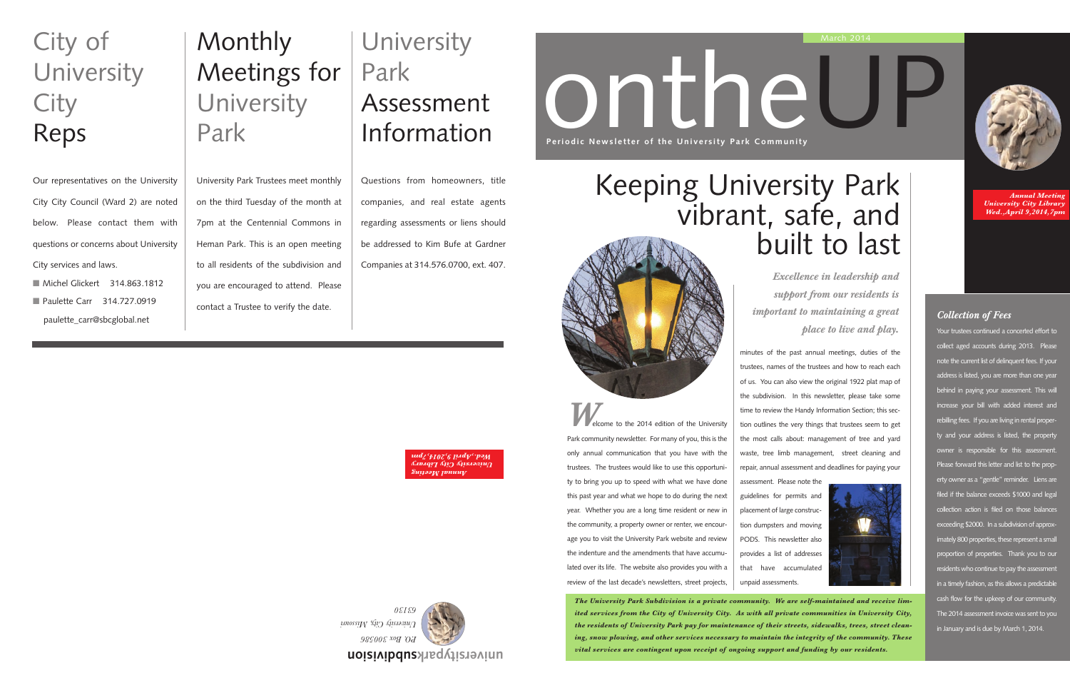*The University Park Subdivision is a private community. We are self-maintained and receive limited services from the City of University City. As with all private communities in University City, the residents of University Park pay for maintenance of their streets, sidewalks, trees, street cleaning, snow plowing, and other services necessary to maintain the integrity of the community. These vital services are contingent upon receipt of ongoing support and funding by our residents.*



ontheUP **Periodic Newsletter of the University Park Community** 

**Welcome to the 2014 edition of the University** 

Park community newsletter. For many of you, this is the only annual communication that you have with the trustees. The trustees would like to use this opportunity to bring you up to speed with what we have done this past year and what we hope to do during the next year. Whether you are a long time resident or new in the community, a property owner or renter, we encourage you to visit the University Park website and review the indenture and the amendments that have accumulated over its life. The website also provides you with a review of the last decade's newsletters, street projects,

- Michel Glickert 314.863.1812
- Paulette Carr 314 727 0919 paulette\_carr@sbcglobal.net

## **University** Park Assessment Information

*Annual Meeting University City Library Wed.,April 9,2014,7pm*

*Excellence in leadership and support from our residents is important to maintaining a great place to live and play.*

*Annual Meeting University City Library pril 9,2014,7pm ed.,A W*



## Monthly Meetings for **University** Park

University Park Trustees meet monthly on the third Tuesday of the month at 7pm at the Centennial Commons in Heman Park. This is an open meeting to all residents of the subdivision and you are encouraged to attend. Please contact a Trustee to verify the date.

## City of **University City** Reps

Our representatives on the University City City Council (Ward 2) are noted below. Please contact them with questions or concerns about University City services and laws.

Questions from homeowners, title companies, and real estate agents regarding assessments or liens should be addressed to Kim Bufe at Gardner Companies at 314.576.0700, ext. 407.

### *Collection of Fees*

Your trustees continued a concerted effort to collect aged accounts during 2013. Please note the current list of delinquent fees. If your address is listed, you are more than one year behind in paying your assessment. This will increase your bill with added interest and rebilling fees. If you are living in rental property and your address is listed, the property owner is responsible for this assessment. Please forward this letter and list to the property owner as a "gentle" reminder. Liens are filed if the balance exceeds \$1000 and legal collection action is filed on those balances exceeding \$2000. In a subdivision of approximately 800 properties, these represent a small proportion of properties. Thank you to our residents who continue to pay the assessment in a timely fashion, as this allows a predictable cash flow for the upkeep of our community. The 2014 assessment invoice was sent to you in January and is due by March 1, 2014.

minutes of the past annual meetings, duties of the trustees, names of the trustees and how to reach each of us. You can also view the original 1922 plat map of the subdivision. In this newsletter, please take some time to review the Handy Information Section; this section outlines the very things that trustees seem to get the most calls about: management of tree and yard waste, tree limb management, street cleaning and repair, annual assessment and deadlines for paying your





assessment. Please note the guidelines for permits and placement of large construction dumpsters and moving PODS. This newsletter also provides a list of addresses that have accumulated unpaid assessments.

# Keeping University Park vibrant, safe, and built to last